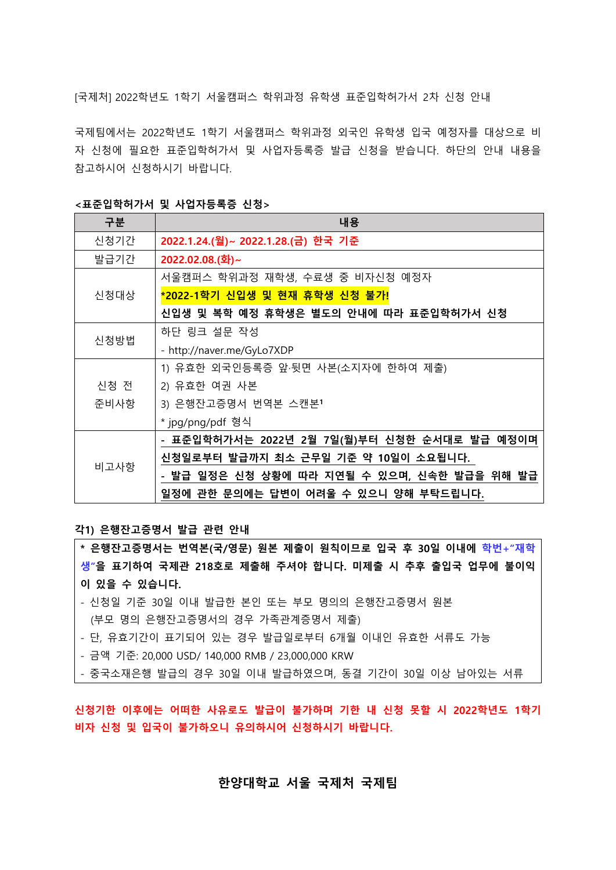[국제처] 2022학년도 1학기 서울캠퍼스 학위과정 유학생 표준입학허가서 2차 신청 안내

국제팀에서는 2022학년도 1학기 서울캠퍼스 학위과정 외국인 유학생 입국 예정자를 대상으로 비 자 신청에 필요한 표준입학허가서 및 사업자등록증 발급 신청을 받습니다. 하단의 안내 내용을 참고하시어 신청하시기 바랍니다.

| 구분   | 내용                                           |
|------|----------------------------------------------|
| 신청기간 | 2022.1.24.(월)~ 2022.1.28.(금) 한국 기준           |
| 발급기간 | 2022.02.08.(화)~                              |
| 신청대상 | 서울캠퍼스 학위과정 재학생, 수료생 중 비자신청 예정자               |
|      | <mark>*2022-1학기 신입생 및 현재 휴학생 신청 불가!</mark>   |
|      | 신입생 및 복학 예정 휴학생은 별도의 안내에 따라 표준입학허가서 신청       |
| 신청방법 | 하단 링크 설문 작성                                  |
|      | - http://naver.me/GyLo7XDP                   |
|      | 1) 유효한 외국인등록증 앞·뒷면 사본(소지자에 한하여 제출)           |
| 신청 전 | 2) 유효한 여권 사본                                 |
| 준비사항 | 3) 은행잔고증명서 번역본 스캔본1                          |
|      | * jpg/png/pdf 형식                             |
| 비고사항 | - 표준입학허가서는 2022년 2월 7일(월)부터 신청한 순서대로 발급 예정이며 |
|      | 신청일로부터 발급까지 최소 근무일 기준 약 10일이 소요됩니다.          |
|      | - 발급 일정은 신청 상황에 따라 지연될 수 있으며, 신속한 발급을 위해 발급  |
|      | 일정에 관한 문의에는 답변이 어려울 수 있으니 양해 부탁드립니다.         |

<표준입학허가서 및 사업자등록증 신청>

각1) 은행잔고증명서 발급 관련 안내

- \* 은행잔고증명서는 번역본(국/영문) 원본 제출이 원칙이므로 입국 후 30일 이내에 학번+"재학 생"을 표기하여 국제관 218호로 제출해 주셔야 합니다. 미제출 시 추후 출입국 업무에 불이익 이 있을 수 있습니다.
- 신청일 기준 30일 이내 발급한 본인 또는 부모 명의의 은행잔고증명서 원본 (부모 명의 은행잔고증명서의 경우 가족관계증명서 제출)
- 단, 유효기간이 표기되어 있는 경우 발급일로부터 6개월 이내인 유효한 서류도 가능
- 금액 기준: 20,000 USD/ 140,000 RMB / 23,000,000 KRW
- 중국소재은행 발급의 경우 30일 이내 발급하였으며, 동결 기간이 30일 이상 남아있는 서류

신청기한 이후에는 어떠한 사유로도 발급이 불가하며 기한 내 신청 못할 시 2022학년도 1학기 비자 신청 및 입국이 불가하오니 유의하시어 신청하시기 바랍니다.

## 한양대학교 서울 국제처 국제팀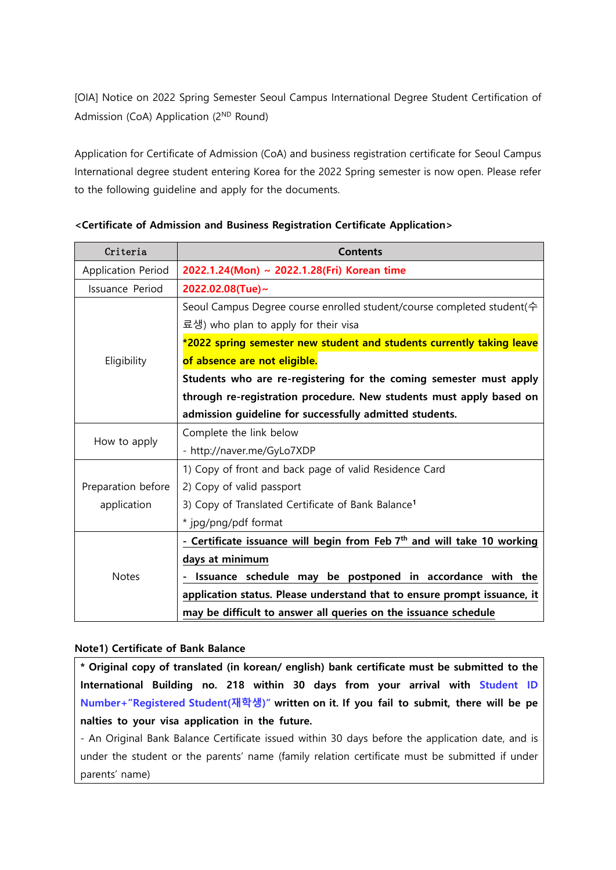[OIA] Notice on 2022 Spring Semester Seoul Campus International Degree Student Certification of Admission (CoA) Application (2<sup>ND</sup> Round)

Application for Certificate of Admission (CoA) and business registration certificate for Seoul Campus International degree student entering Korea for the 2022 Spring semester is now open. Please refer to the following guideline and apply for the documents.

| Criteria           | <b>Contents</b>                                                                    |
|--------------------|------------------------------------------------------------------------------------|
| Application Period | 2022.1.24(Mon) ~ 2022.1.28(Fri) Korean time                                        |
| Issuance Period    | 2022.02.08(Tue)~                                                                   |
| Eligibility        | Seoul Campus Degree course enrolled student/course completed student( $\hat{\tau}$ |
|                    | 료생) who plan to apply for their visa                                               |
|                    | *2022 spring semester new student and students currently taking leave              |
|                    | of absence are not eligible.                                                       |
|                    | Students who are re-registering for the coming semester must apply                 |
|                    | through re-registration procedure. New students must apply based on                |
|                    | admission guideline for successfully admitted students.                            |
|                    | Complete the link below                                                            |
| How to apply       | - http://naver.me/GyLo7XDP                                                         |
|                    | 1) Copy of front and back page of valid Residence Card                             |
| Preparation before | 2) Copy of valid passport                                                          |
| application        | 3) Copy of Translated Certificate of Bank Balance <sup>1</sup>                     |
|                    | * jpg/png/pdf format                                                               |
|                    | - Certificate issuance will begin from Feb 7th and will take 10 working            |
|                    | days at minimum                                                                    |
| <b>Notes</b>       | Issuance schedule may be postponed in accordance with the                          |
|                    | application status. Please understand that to ensure prompt issuance, it           |
|                    | may be difficult to answer all queries on the issuance schedule                    |

## <Certificate of Admission and Business Registration Certificate Application>

## Note1) Certificate of Bank Balance

\* Original copy of translated (in korean/ english) bank certificate must be submitted to the International Building no. 218 within 30 days from your arrival with Student ID Number+"Registered Student(재학생)" written on it. If you fail to submit, there will be pe nalties to your visa application in the future.

- An Original Bank Balance Certificate issued within 30 days before the application date, and is under the student or the parents' name (family relation certificate must be submitted if under parents' name)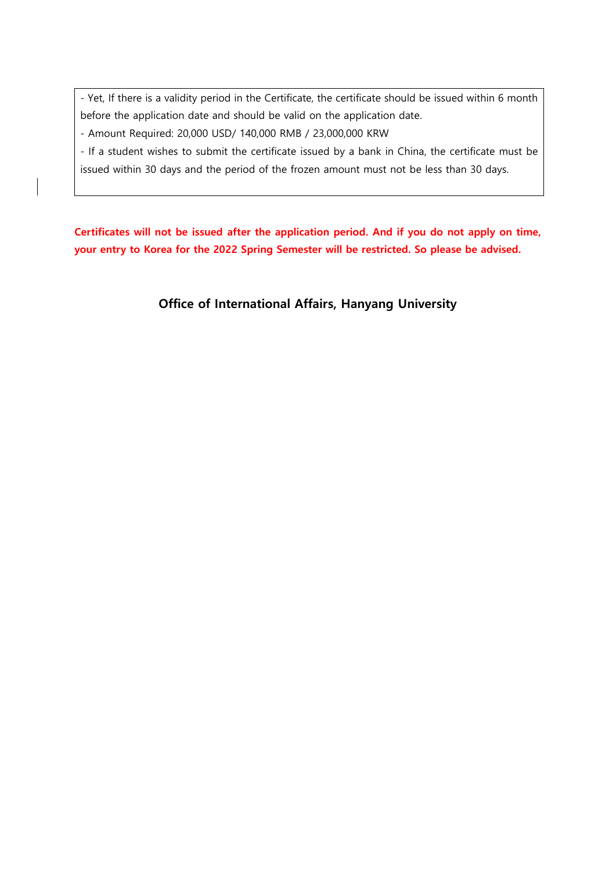- Yet, If there is a validity period in the Certificate, the certificate should be issued within 6 month before the application date and should be valid on the application date.

- Amount Required: 20,000 USD/ 140,000 RMB / 23,000,000 KRW

- If a student wishes to submit the certificate issued by a bank in China, the certificate must be issued within 30 days and the period of the frozen amount must not be less than 30 days.

Certificates will not be issued after the application period. And if you do not apply on time, your entry to Korea for the 2022 Spring Semester will be restricted. So please be advised.

Office of International Affairs, Hanyang University